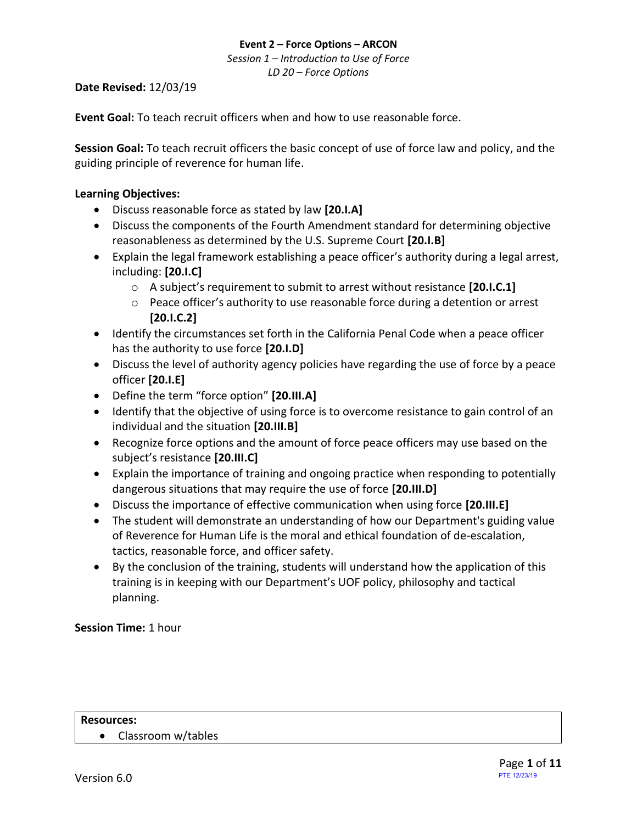*Session 1 – Introduction to Use of Force LD 20 – Force Options*

## **Date Revised:** 12/03/19

**Event Goal:** To teach recruit officers when and how to use reasonable force.

**Session Goal:** To teach recruit officers the basic concept of use of force law and policy, and the guiding principle of reverence for human life.

# <span id="page-0-0"></span>**Learning Objectives:**

- [Discuss reasonable force as stated by law](#page-2-0) **[20.I.A]**
- [Discuss the components of the Fourth Amendment standard for determining objective](#page-3-0)  [reasonableness as determined by the U.S. Supreme Court](#page-3-0) **[20.I.B]**
- [Explain the legal framework establishing a peace officer's authority during a legal arrest,](#page-2-1)  [including:](#page-2-1) **[20.I.C]**
	- o [A subject's requirement to submit to arrest without resistance](#page-2-2) **[20.I.C.1]**
	- o [Peace officer's authority to use reasonable force during a detention or arrest](#page-5-0) **[\[20.I.C.2\]](#page-5-0)**
- [Identify the circumstances set forth in the California Penal Code when a peace officer](#page-2-3)  [has the authority to use force](#page-2-3) **[20.I.D]**
- [Discuss the level of authority agency policies have regarding the use of force by a peace](#page-5-1)  officer **[\[20.I.E\]](#page-5-1)**
- [Define the term "force option"](#page-7-0) **[20.III.A]**
- [Identify that the objective of using force is to overcome resistance to gain control of an](#page-7-1)  [individual and the situation](#page-7-1) **[20.III.B]**
- [Recognize force options and the amount of force peace officers may use based on the](#page-4-0)  [subject's resistance](#page-4-0) **[20.III.C]**
- [Explain the importance of training and ongoing practice when responding to potentially](#page-7-2)  [dangerous situations that may require the use of force](#page-7-2) **[20.III.D]**
- [Discuss the importance of effective communication when using force](#page-6-0) **[20.III.E]**
- The student will demonstrate an understanding of how our Department's guiding value of Reverence for Human Life is the moral and ethical foundation of de-escalation, tactics, reasonable force, and officer safety.
- By the conclusion of the training, students will understand how the application of this training is in keeping with our Department's UOF policy, philosophy and tactical planning.

# **Session Time:** 1 hour

#### **Resources:**

• Classroom w/tables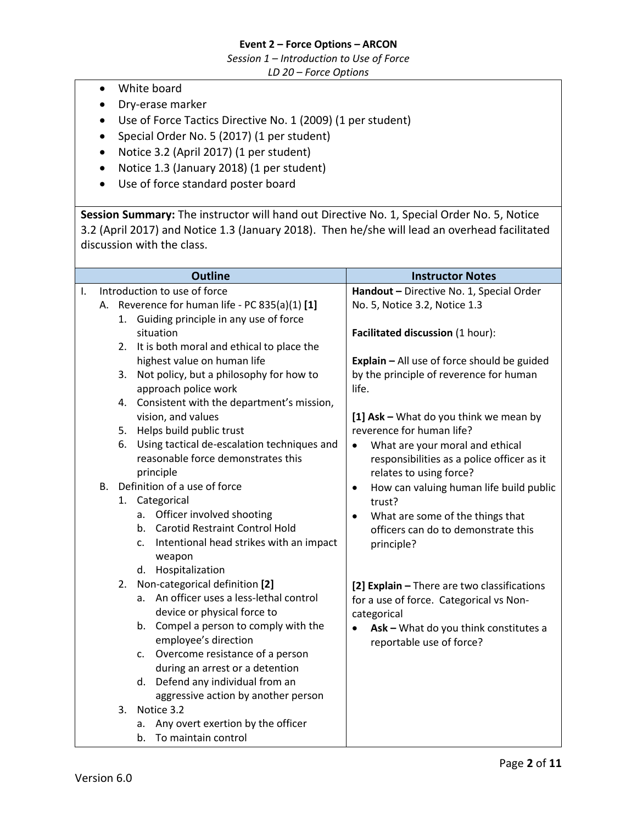*Session 1 – Introduction to Use of Force*

*LD 20 – Force Options*

- White board
- Dry-erase marker
- Use of Force Tactics Directive No. 1 (2009) (1 per student)
- Special Order No. 5 (2017) (1 per student)
- Notice 3.2 (April 2017) (1 per student)
- Notice 1.3 (January 2018) (1 per student)
- Use of force standard poster board

**Session Summary:** The instructor will hand out Directive No. 1, Special Order No. 5, Notice 3.2 (April 2017) and Notice 1.3 (January 2018). Then he/she will lead an overhead facilitated discussion with the class.

| Ι.                         |                                                                                                                                                                                                                                                                                                                                                                                                                                                                                                                                                                                                                                                                                                                                                                                                                       |                                                                                                                                                                                                                                                                                                                                                                                                                                                                            |
|----------------------------|-----------------------------------------------------------------------------------------------------------------------------------------------------------------------------------------------------------------------------------------------------------------------------------------------------------------------------------------------------------------------------------------------------------------------------------------------------------------------------------------------------------------------------------------------------------------------------------------------------------------------------------------------------------------------------------------------------------------------------------------------------------------------------------------------------------------------|----------------------------------------------------------------------------------------------------------------------------------------------------------------------------------------------------------------------------------------------------------------------------------------------------------------------------------------------------------------------------------------------------------------------------------------------------------------------------|
|                            | Introduction to use of force                                                                                                                                                                                                                                                                                                                                                                                                                                                                                                                                                                                                                                                                                                                                                                                          | Handout - Directive No. 1, Special Order                                                                                                                                                                                                                                                                                                                                                                                                                                   |
| А.                         | Reverence for human life - PC 835(a)(1) [1]                                                                                                                                                                                                                                                                                                                                                                                                                                                                                                                                                                                                                                                                                                                                                                           | No. 5, Notice 3.2, Notice 1.3                                                                                                                                                                                                                                                                                                                                                                                                                                              |
|                            | 1. Guiding principle in any use of force                                                                                                                                                                                                                                                                                                                                                                                                                                                                                                                                                                                                                                                                                                                                                                              |                                                                                                                                                                                                                                                                                                                                                                                                                                                                            |
|                            | situation                                                                                                                                                                                                                                                                                                                                                                                                                                                                                                                                                                                                                                                                                                                                                                                                             | Facilitated discussion (1 hour):                                                                                                                                                                                                                                                                                                                                                                                                                                           |
| 2.                         | It is both moral and ethical to place the                                                                                                                                                                                                                                                                                                                                                                                                                                                                                                                                                                                                                                                                                                                                                                             |                                                                                                                                                                                                                                                                                                                                                                                                                                                                            |
|                            |                                                                                                                                                                                                                                                                                                                                                                                                                                                                                                                                                                                                                                                                                                                                                                                                                       | Explain - All use of force should be guided                                                                                                                                                                                                                                                                                                                                                                                                                                |
| 3.                         |                                                                                                                                                                                                                                                                                                                                                                                                                                                                                                                                                                                                                                                                                                                                                                                                                       | by the principle of reverence for human                                                                                                                                                                                                                                                                                                                                                                                                                                    |
|                            |                                                                                                                                                                                                                                                                                                                                                                                                                                                                                                                                                                                                                                                                                                                                                                                                                       |                                                                                                                                                                                                                                                                                                                                                                                                                                                                            |
| 4.                         |                                                                                                                                                                                                                                                                                                                                                                                                                                                                                                                                                                                                                                                                                                                                                                                                                       |                                                                                                                                                                                                                                                                                                                                                                                                                                                                            |
|                            |                                                                                                                                                                                                                                                                                                                                                                                                                                                                                                                                                                                                                                                                                                                                                                                                                       | [1] Ask - What do you think we mean by                                                                                                                                                                                                                                                                                                                                                                                                                                     |
|                            |                                                                                                                                                                                                                                                                                                                                                                                                                                                                                                                                                                                                                                                                                                                                                                                                                       |                                                                                                                                                                                                                                                                                                                                                                                                                                                                            |
|                            |                                                                                                                                                                                                                                                                                                                                                                                                                                                                                                                                                                                                                                                                                                                                                                                                                       | $\bullet$                                                                                                                                                                                                                                                                                                                                                                                                                                                                  |
|                            |                                                                                                                                                                                                                                                                                                                                                                                                                                                                                                                                                                                                                                                                                                                                                                                                                       |                                                                                                                                                                                                                                                                                                                                                                                                                                                                            |
|                            |                                                                                                                                                                                                                                                                                                                                                                                                                                                                                                                                                                                                                                                                                                                                                                                                                       |                                                                                                                                                                                                                                                                                                                                                                                                                                                                            |
|                            |                                                                                                                                                                                                                                                                                                                                                                                                                                                                                                                                                                                                                                                                                                                                                                                                                       | $\bullet$                                                                                                                                                                                                                                                                                                                                                                                                                                                                  |
|                            |                                                                                                                                                                                                                                                                                                                                                                                                                                                                                                                                                                                                                                                                                                                                                                                                                       |                                                                                                                                                                                                                                                                                                                                                                                                                                                                            |
|                            |                                                                                                                                                                                                                                                                                                                                                                                                                                                                                                                                                                                                                                                                                                                                                                                                                       |                                                                                                                                                                                                                                                                                                                                                                                                                                                                            |
|                            |                                                                                                                                                                                                                                                                                                                                                                                                                                                                                                                                                                                                                                                                                                                                                                                                                       |                                                                                                                                                                                                                                                                                                                                                                                                                                                                            |
|                            |                                                                                                                                                                                                                                                                                                                                                                                                                                                                                                                                                                                                                                                                                                                                                                                                                       |                                                                                                                                                                                                                                                                                                                                                                                                                                                                            |
|                            |                                                                                                                                                                                                                                                                                                                                                                                                                                                                                                                                                                                                                                                                                                                                                                                                                       |                                                                                                                                                                                                                                                                                                                                                                                                                                                                            |
|                            |                                                                                                                                                                                                                                                                                                                                                                                                                                                                                                                                                                                                                                                                                                                                                                                                                       |                                                                                                                                                                                                                                                                                                                                                                                                                                                                            |
|                            |                                                                                                                                                                                                                                                                                                                                                                                                                                                                                                                                                                                                                                                                                                                                                                                                                       |                                                                                                                                                                                                                                                                                                                                                                                                                                                                            |
|                            |                                                                                                                                                                                                                                                                                                                                                                                                                                                                                                                                                                                                                                                                                                                                                                                                                       |                                                                                                                                                                                                                                                                                                                                                                                                                                                                            |
|                            |                                                                                                                                                                                                                                                                                                                                                                                                                                                                                                                                                                                                                                                                                                                                                                                                                       |                                                                                                                                                                                                                                                                                                                                                                                                                                                                            |
|                            |                                                                                                                                                                                                                                                                                                                                                                                                                                                                                                                                                                                                                                                                                                                                                                                                                       |                                                                                                                                                                                                                                                                                                                                                                                                                                                                            |
|                            |                                                                                                                                                                                                                                                                                                                                                                                                                                                                                                                                                                                                                                                                                                                                                                                                                       |                                                                                                                                                                                                                                                                                                                                                                                                                                                                            |
|                            |                                                                                                                                                                                                                                                                                                                                                                                                                                                                                                                                                                                                                                                                                                                                                                                                                       |                                                                                                                                                                                                                                                                                                                                                                                                                                                                            |
|                            |                                                                                                                                                                                                                                                                                                                                                                                                                                                                                                                                                                                                                                                                                                                                                                                                                       |                                                                                                                                                                                                                                                                                                                                                                                                                                                                            |
|                            | aggressive action by another person                                                                                                                                                                                                                                                                                                                                                                                                                                                                                                                                                                                                                                                                                                                                                                                   |                                                                                                                                                                                                                                                                                                                                                                                                                                                                            |
| 3.                         | Notice 3.2                                                                                                                                                                                                                                                                                                                                                                                                                                                                                                                                                                                                                                                                                                                                                                                                            |                                                                                                                                                                                                                                                                                                                                                                                                                                                                            |
|                            | Any overt exertion by the officer<br>a.                                                                                                                                                                                                                                                                                                                                                                                                                                                                                                                                                                                                                                                                                                                                                                               |                                                                                                                                                                                                                                                                                                                                                                                                                                                                            |
|                            | To maintain control<br>b.                                                                                                                                                                                                                                                                                                                                                                                                                                                                                                                                                                                                                                                                                                                                                                                             |                                                                                                                                                                                                                                                                                                                                                                                                                                                                            |
| 5.<br>6.<br>В.<br>1.<br>2. | highest value on human life<br>Not policy, but a philosophy for how to<br>approach police work<br>Consistent with the department's mission,<br>vision, and values<br>Helps build public trust<br>Using tactical de-escalation techniques and<br>reasonable force demonstrates this<br>principle<br>Definition of a use of force<br>Categorical<br>Officer involved shooting<br>а.<br><b>Carotid Restraint Control Hold</b><br>b.<br>Intentional head strikes with an impact<br>c.<br>weapon<br>d. Hospitalization<br>Non-categorical definition [2]<br>An officer uses a less-lethal control<br>а.<br>device or physical force to<br>Compel a person to comply with the<br>b.<br>employee's direction<br>Overcome resistance of a person<br>c.<br>during an arrest or a detention<br>d. Defend any individual from an | life.<br>reverence for human life?<br>What are your moral and ethical<br>responsibilities as a police officer as it<br>relates to using force?<br>How can valuing human life build public<br>trust?<br>What are some of the things that<br>officers can do to demonstrate this<br>principle?<br>[2] Explain - There are two classifications<br>for a use of force. Categorical vs Non-<br>categorical<br>Ask - What do you think constitutes a<br>reportable use of force? |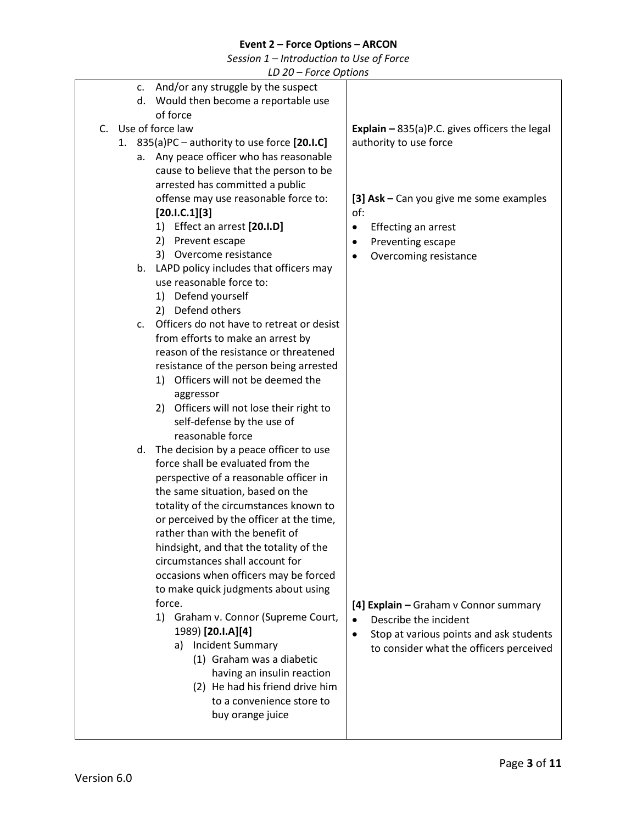*Session 1 – Introduction to Use of Force*

<span id="page-2-3"></span><span id="page-2-2"></span><span id="page-2-1"></span><span id="page-2-0"></span>

|    | LD 20 – FOILE Options                           |                                                      |
|----|-------------------------------------------------|------------------------------------------------------|
|    | c. And/or any struggle by the suspect           |                                                      |
|    | Would then become a reportable use<br>d.        |                                                      |
|    | of force                                        |                                                      |
| C. | Use of force law                                | <b>Explain - 835(a)P.C.</b> gives officers the legal |
|    |                                                 |                                                      |
|    | 1. 835(a)PC - authority to use force [20.I.C]   | authority to use force                               |
|    | Any peace officer who has reasonable<br>а.      |                                                      |
|    | cause to believe that the person to be          |                                                      |
|    | arrested has committed a public                 |                                                      |
|    | offense may use reasonable force to:            | [3] Ask - Can you give me some examples              |
|    | [20.1.C.1][3]                                   | of:                                                  |
|    | 1) Effect an arrest [20.I.D]                    | Effecting an arrest<br>$\bullet$                     |
|    | 2) Prevent escape                               |                                                      |
|    |                                                 | Preventing escape<br>٠                               |
|    | 3) Overcome resistance                          | Overcoming resistance<br>٠                           |
|    | b. LAPD policy includes that officers may       |                                                      |
|    | use reasonable force to:                        |                                                      |
|    | 1) Defend yourself                              |                                                      |
|    | 2) Defend others                                |                                                      |
|    | Officers do not have to retreat or desist<br>C. |                                                      |
|    | from efforts to make an arrest by               |                                                      |
|    | reason of the resistance or threatened          |                                                      |
|    | resistance of the person being arrested         |                                                      |
|    | 1) Officers will not be deemed the              |                                                      |
|    |                                                 |                                                      |
|    | aggressor                                       |                                                      |
|    | 2) Officers will not lose their right to        |                                                      |
|    | self-defense by the use of                      |                                                      |
|    | reasonable force                                |                                                      |
|    | The decision by a peace officer to use<br>d.    |                                                      |
|    | force shall be evaluated from the               |                                                      |
|    | perspective of a reasonable officer in          |                                                      |
|    | the same situation, based on the                |                                                      |
|    | totality of the circumstances known to          |                                                      |
|    |                                                 |                                                      |
|    | or perceived by the officer at the time,        |                                                      |
|    | rather than with the benefit of                 |                                                      |
|    | hindsight, and that the totality of the         |                                                      |
|    | circumstances shall account for                 |                                                      |
|    | occasions when officers may be forced           |                                                      |
|    | to make quick judgments about using             |                                                      |
|    | force.                                          | [4] Explain - Graham v Connor summary                |
|    | 1)<br>Graham v. Connor (Supreme Court,          | Describe the incident<br>$\bullet$                   |
|    | 1989) [20.I.A][4]                               |                                                      |
|    | a) Incident Summary                             | Stop at various points and ask students<br>$\bullet$ |
|    | (1) Graham was a diabetic                       | to consider what the officers perceived              |
|    |                                                 |                                                      |
|    | having an insulin reaction                      |                                                      |
|    | (2) He had his friend drive him                 |                                                      |
|    | to a convenience store to                       |                                                      |
|    | buy orange juice                                |                                                      |
|    |                                                 |                                                      |
|    |                                                 |                                                      |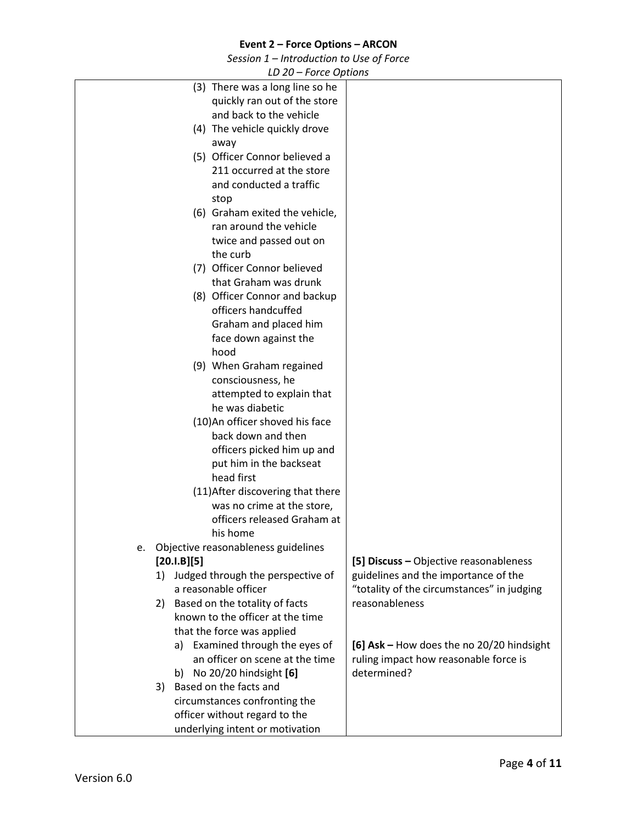*Session 1 – Introduction to Use of Force*

<span id="page-3-0"></span>

| LD 20 – FOILE OPHONS                      |                                            |
|-------------------------------------------|--------------------------------------------|
| (3) There was a long line so he           |                                            |
| quickly ran out of the store              |                                            |
| and back to the vehicle                   |                                            |
| (4) The vehicle quickly drove             |                                            |
| away                                      |                                            |
| (5) Officer Connor believed a             |                                            |
| 211 occurred at the store                 |                                            |
| and conducted a traffic                   |                                            |
| stop                                      |                                            |
| (6) Graham exited the vehicle,            |                                            |
| ran around the vehicle                    |                                            |
|                                           |                                            |
| twice and passed out on                   |                                            |
| the curb                                  |                                            |
| (7) Officer Connor believed               |                                            |
| that Graham was drunk                     |                                            |
| (8) Officer Connor and backup             |                                            |
| officers handcuffed                       |                                            |
| Graham and placed him                     |                                            |
| face down against the                     |                                            |
| hood                                      |                                            |
| (9) When Graham regained                  |                                            |
| consciousness, he                         |                                            |
| attempted to explain that                 |                                            |
| he was diabetic                           |                                            |
| (10) An officer shoved his face           |                                            |
| back down and then                        |                                            |
| officers picked him up and                |                                            |
| put him in the backseat                   |                                            |
| head first                                |                                            |
| (11) After discovering that there         |                                            |
|                                           |                                            |
| was no crime at the store,                |                                            |
| officers released Graham at               |                                            |
| his home                                  |                                            |
| Objective reasonableness guidelines<br>e. |                                            |
| [20.1.B][5]                               | [5] Discuss - Objective reasonableness     |
| 1) Judged through the perspective of      | guidelines and the importance of the       |
| a reasonable officer                      | "totality of the circumstances" in judging |
| 2) Based on the totality of facts         | reasonableness                             |
| known to the officer at the time          |                                            |
| that the force was applied                |                                            |
| a) Examined through the eyes of           | [6] Ask - How does the no 20/20 hindsight  |
| an officer on scene at the time           | ruling impact how reasonable force is      |
| b) No 20/20 hindsight [6]                 | determined?                                |
| Based on the facts and<br>3)              |                                            |
| circumstances confronting the             |                                            |
| officer without regard to the             |                                            |
| underlying intent or motivation           |                                            |
|                                           |                                            |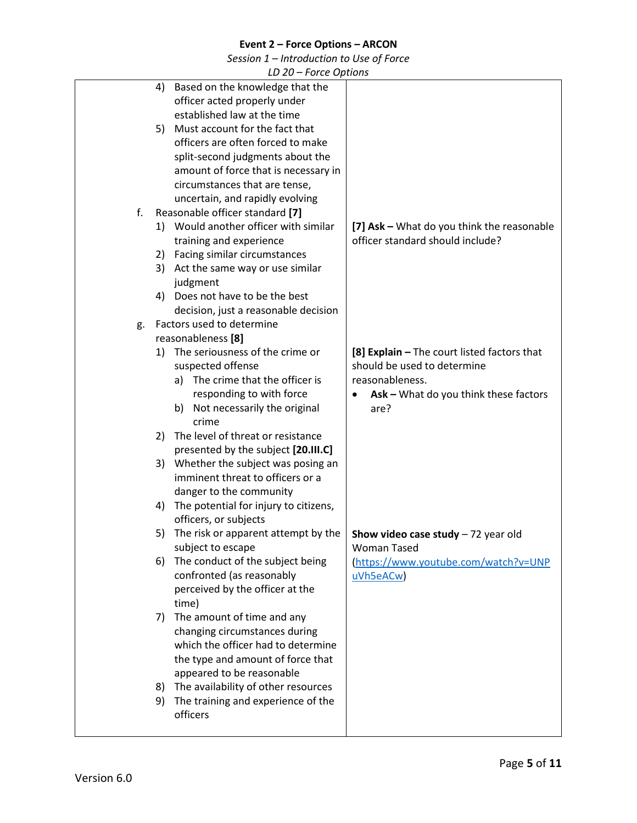*Session 1 – Introduction to Use of Force*

<span id="page-4-0"></span>

|    |      | LD ZU – FUILE UPHUIIS                 |                                                    |
|----|------|---------------------------------------|----------------------------------------------------|
|    | 4)   | Based on the knowledge that the       |                                                    |
|    |      | officer acted properly under          |                                                    |
|    |      | established law at the time           |                                                    |
|    |      | 5) Must account for the fact that     |                                                    |
|    |      | officers are often forced to make     |                                                    |
|    |      | split-second judgments about the      |                                                    |
|    |      | amount of force that is necessary in  |                                                    |
|    |      |                                       |                                                    |
|    |      | circumstances that are tense,         |                                                    |
|    |      | uncertain, and rapidly evolving       |                                                    |
| f. |      | Reasonable officer standard [7]       |                                                    |
|    |      | 1) Would another officer with similar | [7] Ask - What do you think the reasonable         |
|    |      | training and experience               | officer standard should include?                   |
|    |      | 2) Facing similar circumstances       |                                                    |
|    | 3)   | Act the same way or use similar       |                                                    |
|    |      | judgment                              |                                                    |
|    |      | 4) Does not have to be the best       |                                                    |
|    |      | decision, just a reasonable decision  |                                                    |
| g. |      | Factors used to determine             |                                                    |
|    |      | reasonableness [8]                    |                                                    |
|    |      | 1) The seriousness of the crime or    | [8] Explain - The court listed factors that        |
|    |      | suspected offense                     | should be used to determine                        |
|    | a) - | The crime that the officer is         | reasonableness.                                    |
|    |      | responding to with force              | Ask - What do you think these factors<br>$\bullet$ |
|    | b)   | Not necessarily the original          | are?                                               |
|    |      | crime                                 |                                                    |
|    | 2)   | The level of threat or resistance     |                                                    |
|    |      |                                       |                                                    |
|    |      | presented by the subject [20.III.C]   |                                                    |
|    | 3)   | Whether the subject was posing an     |                                                    |
|    |      | imminent threat to officers or a      |                                                    |
|    |      | danger to the community               |                                                    |
|    | 4)   | The potential for injury to citizens, |                                                    |
|    |      | officers, or subjects                 |                                                    |
|    | 5)   | The risk or apparent attempt by the   | <b>Show video case study</b> $-72$ year old        |
|    |      | subject to escape                     | <b>Woman Tased</b>                                 |
|    | 6)   | The conduct of the subject being      | https://www.youtube.com/watch?v=UNP                |
|    |      | confronted (as reasonably             | uVh5eACw                                           |
|    |      | perceived by the officer at the       |                                                    |
|    |      | time)                                 |                                                    |
|    |      | 7) The amount of time and any         |                                                    |
|    |      | changing circumstances during         |                                                    |
|    |      | which the officer had to determine    |                                                    |
|    |      | the type and amount of force that     |                                                    |
|    |      | appeared to be reasonable             |                                                    |
|    |      |                                       |                                                    |
|    | 8)   | The availability of other resources   |                                                    |
|    | 9)   | The training and experience of the    |                                                    |
|    |      | officers                              |                                                    |
|    |      |                                       |                                                    |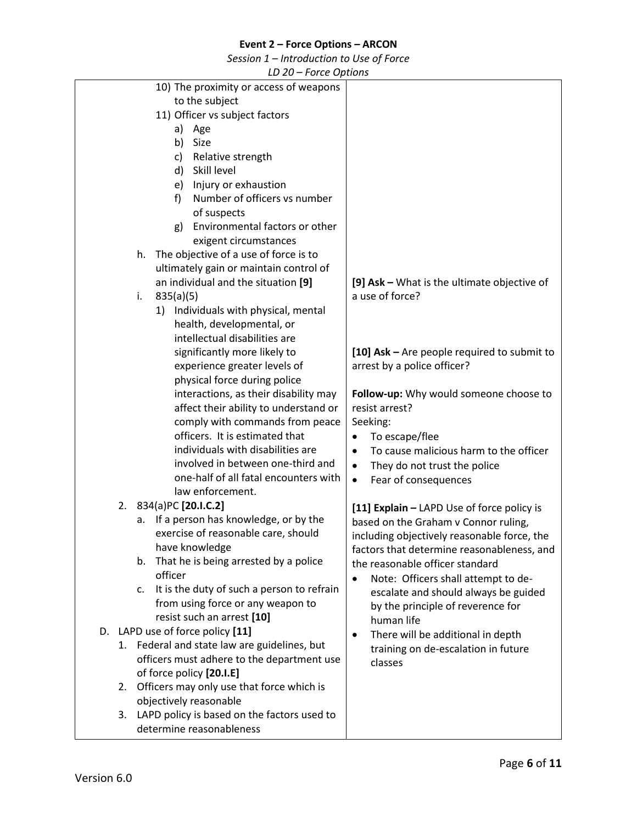*Session 1 – Introduction to Use of Force*

<span id="page-5-1"></span><span id="page-5-0"></span>

|    |    | LD 20 – FOILE OPHONS                         |                                                     |
|----|----|----------------------------------------------|-----------------------------------------------------|
|    |    | 10) The proximity or access of weapons       |                                                     |
|    |    | to the subject                               |                                                     |
|    |    | 11) Officer vs subject factors               |                                                     |
|    |    | a) Age                                       |                                                     |
|    |    | Size                                         |                                                     |
|    |    | b)                                           |                                                     |
|    |    | Relative strength<br>c)                      |                                                     |
|    |    | Skill level<br>d)                            |                                                     |
|    |    | e) Injury or exhaustion                      |                                                     |
|    |    | Number of officers vs number<br>f)           |                                                     |
|    |    | of suspects                                  |                                                     |
|    |    | Environmental factors or other<br>g)         |                                                     |
|    |    |                                              |                                                     |
|    |    | exigent circumstances                        |                                                     |
|    | h. | The objective of a use of force is to        |                                                     |
|    |    | ultimately gain or maintain control of       |                                                     |
|    |    | an individual and the situation [9]          | [9] Ask - What is the ultimate objective of         |
|    | i. | 835(a)(5)                                    | a use of force?                                     |
|    |    | 1) Individuals with physical, mental         |                                                     |
|    |    | health, developmental, or                    |                                                     |
|    |    | intellectual disabilities are                |                                                     |
|    |    |                                              |                                                     |
|    |    | significantly more likely to                 | [10] Ask $-$ Are people required to submit to       |
|    |    | experience greater levels of                 | arrest by a police officer?                         |
|    |    | physical force during police                 |                                                     |
|    |    | interactions, as their disability may        | Follow-up: Why would someone choose to              |
|    |    | affect their ability to understand or        | resist arrest?                                      |
|    |    | comply with commands from peace              | Seeking:                                            |
|    |    | officers. It is estimated that               | To escape/flee                                      |
|    |    |                                              |                                                     |
|    |    | individuals with disabilities are            | To cause malicious harm to the officer<br>$\bullet$ |
|    |    | involved in between one-third and            | They do not trust the police<br>$\bullet$           |
|    |    | one-half of all fatal encounters with        | Fear of consequences<br>$\bullet$                   |
|    |    | law enforcement.                             |                                                     |
|    |    | 2. 834(a)PC [20.I.C.2]                       | [11] Explain - LAPD Use of force policy is          |
|    | а. | If a person has knowledge, or by the         | based on the Graham v Connor ruling,                |
|    |    | exercise of reasonable care, should          |                                                     |
|    |    | have knowledge                               | including objectively reasonable force, the         |
|    |    |                                              | factors that determine reasonableness, and          |
|    | b. | That he is being arrested by a police        | the reasonable officer standard                     |
|    |    | officer                                      | Note: Officers shall attempt to de-<br>$\bullet$    |
|    | c. | It is the duty of such a person to refrain   | escalate and should always be guided                |
|    |    | from using force or any weapon to            | by the principle of reverence for                   |
|    |    | resist such an arrest [10]                   | human life                                          |
|    |    | D. LAPD use of force policy [11]             |                                                     |
|    |    | 1. Federal and state law are guidelines, but | There will be additional in depth<br>$\bullet$      |
|    |    | officers must adhere to the department use   | training on de-escalation in future                 |
|    |    |                                              | classes                                             |
|    |    | of force policy [20.I.E]                     |                                                     |
| 2. |    | Officers may only use that force which is    |                                                     |
|    |    | objectively reasonable                       |                                                     |
| 3. |    | LAPD policy is based on the factors used to  |                                                     |
|    |    | determine reasonableness                     |                                                     |
|    |    |                                              |                                                     |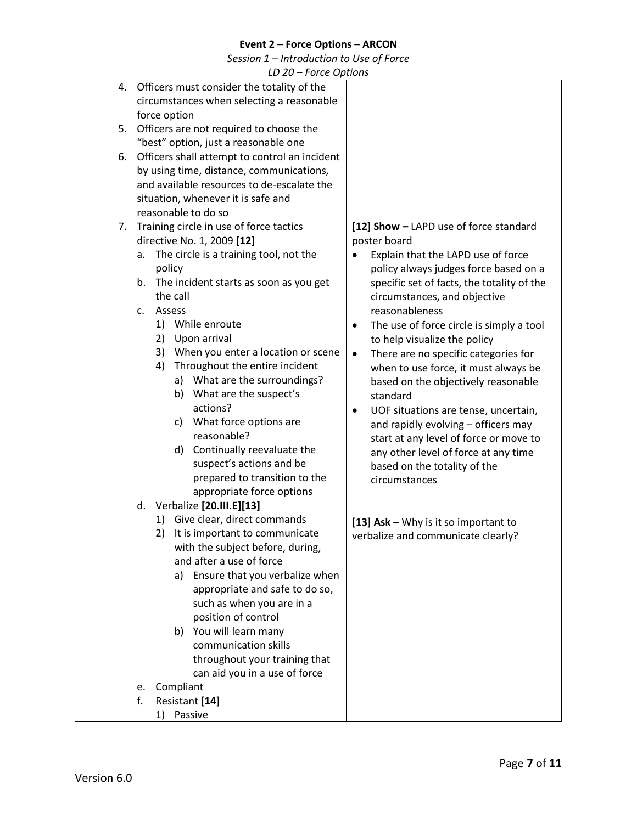*Session 1 – Introduction to Use of Force*

<span id="page-6-0"></span>

|    | LD 20 – Force Options                         |                                                   |
|----|-----------------------------------------------|---------------------------------------------------|
|    | 4. Officers must consider the totality of the |                                                   |
|    | circumstances when selecting a reasonable     |                                                   |
|    | force option                                  |                                                   |
| 5. | Officers are not required to choose the       |                                                   |
|    | "best" option, just a reasonable one          |                                                   |
| 6. | Officers shall attempt to control an incident |                                                   |
|    |                                               |                                                   |
|    | by using time, distance, communications,      |                                                   |
|    | and available resources to de-escalate the    |                                                   |
|    | situation, whenever it is safe and            |                                                   |
|    | reasonable to do so                           |                                                   |
| 7. | Training circle in use of force tactics       | [12] Show - LAPD use of force standard            |
|    | directive No. 1, 2009 [12]                    | poster board                                      |
|    | The circle is a training tool, not the<br>a.  | Explain that the LAPD use of force                |
|    | policy                                        | policy always judges force based on a             |
|    | The incident starts as soon as you get<br>b.  | specific set of facts, the totality of the        |
|    | the call                                      | circumstances, and objective                      |
|    | Assess<br>$C_{\star}$                         | reasonableness                                    |
|    | 1) While enroute                              | The use of force circle is simply a tool<br>٠     |
|    | 2) Upon arrival                               | to help visualize the policy                      |
|    | 3) When you enter a location or scene         | There are no specific categories for<br>$\bullet$ |
|    | Throughout the entire incident<br>4)          | when to use force, it must always be              |
|    | a) What are the surroundings?                 | based on the objectively reasonable               |
|    | What are the suspect's<br>b)                  |                                                   |
|    | actions?                                      | standard                                          |
|    |                                               | UOF situations are tense, uncertain,<br>$\bullet$ |
|    | What force options are<br>C)                  | and rapidly evolving - officers may               |
|    | reasonable?                                   | start at any level of force or move to            |
|    | Continually reevaluate the<br>d)              | any other level of force at any time              |
|    | suspect's actions and be                      | based on the totality of the                      |
|    | prepared to transition to the                 | circumstances                                     |
|    | appropriate force options                     |                                                   |
|    | d. Verbalize [20.III.E][13]                   |                                                   |
|    | 1) Give clear, direct commands                | [13] Ask - Why is it so important to              |
|    | It is important to communicate<br>2)          | verbalize and communicate clearly?                |
|    | with the subject before, during,              |                                                   |
|    | and after a use of force                      |                                                   |
|    | Ensure that you verbalize when<br>a)          |                                                   |
|    | appropriate and safe to do so,                |                                                   |
|    | such as when you are in a                     |                                                   |
|    | position of control                           |                                                   |
|    | b) You will learn many                        |                                                   |
|    | communication skills                          |                                                   |
|    | throughout your training that                 |                                                   |
|    | can aid you in a use of force                 |                                                   |
|    | Compliant                                     |                                                   |
|    | e.<br>f.                                      |                                                   |
|    | Resistant [14]                                |                                                   |
|    | 1) Passive                                    |                                                   |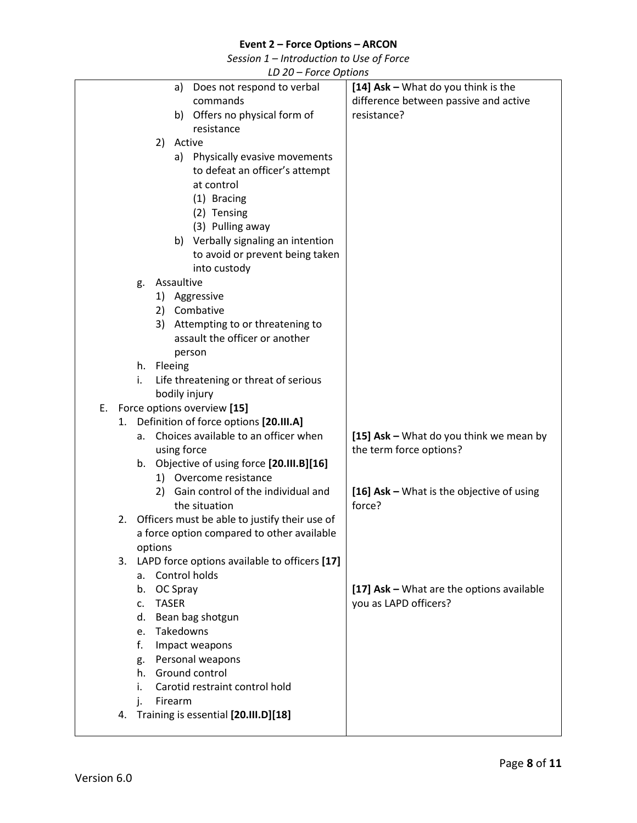*Session 1 – Introduction to Use of Force*

<span id="page-7-2"></span><span id="page-7-1"></span><span id="page-7-0"></span>

|    |    |    |              |            | LD 20 - Force Options                            |                                           |
|----|----|----|--------------|------------|--------------------------------------------------|-------------------------------------------|
|    |    |    |              | a)         | Does not respond to verbal                       | [14] Ask - What do you think is the       |
|    |    |    |              |            | commands                                         | difference between passive and active     |
|    |    |    |              |            | b) Offers no physical form of                    | resistance?                               |
|    |    |    |              |            | resistance                                       |                                           |
|    |    |    | 2)           | Active     |                                                  |                                           |
|    |    |    |              |            | a) Physically evasive movements                  |                                           |
|    |    |    |              |            | to defeat an officer's attempt                   |                                           |
|    |    |    |              |            | at control                                       |                                           |
|    |    |    |              |            | (1) Bracing                                      |                                           |
|    |    |    |              |            | (2) Tensing                                      |                                           |
|    |    |    |              |            | (3) Pulling away                                 |                                           |
|    |    |    |              |            | b) Verbally signaling an intention               |                                           |
|    |    |    |              |            | to avoid or prevent being taken                  |                                           |
|    |    |    |              |            | into custody                                     |                                           |
|    |    | g. |              | Assaultive |                                                  |                                           |
|    |    |    |              |            | 1) Aggressive                                    |                                           |
|    |    |    |              |            | 2) Combative                                     |                                           |
|    |    |    | 3)           |            | Attempting to or threatening to                  |                                           |
|    |    |    |              |            | assault the officer or another                   |                                           |
|    |    |    |              |            | person                                           |                                           |
|    |    |    | h. Fleeing   |            |                                                  |                                           |
|    |    | i. |              |            | Life threatening or threat of serious            |                                           |
|    |    |    |              |            | bodily injury                                    |                                           |
| Ε. |    |    |              |            | Force options overview [15]                      |                                           |
|    | 1. |    |              |            | Definition of force options [20.III.A]           |                                           |
|    |    | a. |              |            | Choices available to an officer when             | [15] Ask - What do you think we mean by   |
|    |    |    |              |            | using force                                      | the term force options?                   |
|    |    | b. |              |            | Objective of using force [20.III.B][16]          |                                           |
|    |    |    |              |            | 1) Overcome resistance                           |                                           |
|    |    |    | 2)           |            | Gain control of the individual and               | [16] Ask - What is the objective of using |
|    |    |    |              |            | the situation                                    | force?                                    |
|    | 2. |    |              |            | Officers must be able to justify their use of    |                                           |
|    |    |    |              |            | a force option compared to other available       |                                           |
|    |    |    | options      |            |                                                  |                                           |
|    |    |    |              |            | 3. LAPD force options available to officers [17] |                                           |
|    |    | a. |              |            | Control holds                                    |                                           |
|    |    |    | b. OC Spray  |            |                                                  | [17] Ask - What are the options available |
|    |    | c. | <b>TASER</b> |            |                                                  | you as LAPD officers?                     |
|    |    | d. |              |            | Bean bag shotgun                                 |                                           |
|    |    | e. |              |            | Takedowns                                        |                                           |
|    |    | f. |              |            | Impact weapons                                   |                                           |
|    |    | g. |              |            | Personal weapons                                 |                                           |
|    |    | h. |              |            | Ground control                                   |                                           |
|    |    | i. |              |            | Carotid restraint control hold                   |                                           |
|    |    | j. |              | Firearm    |                                                  |                                           |
|    | 4. |    |              |            | Training is essential [20.III.D][18]             |                                           |
|    |    |    |              |            |                                                  |                                           |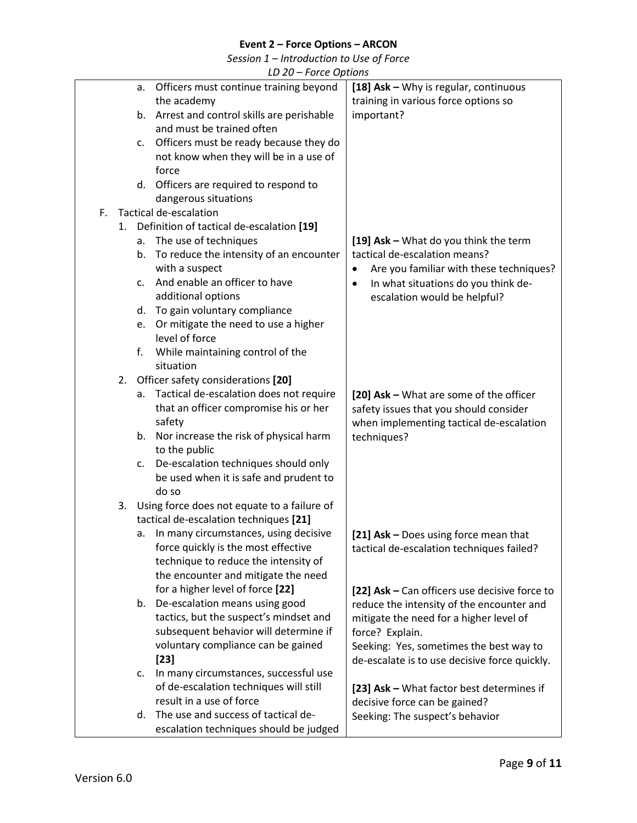*Session 1 – Introduction to Use of Force*

|    |             | LD 20 – FOILE OPHONS                        |                                                      |
|----|-------------|---------------------------------------------|------------------------------------------------------|
|    | а.          | Officers must continue training beyond      | [18] Ask - Why is regular, continuous                |
|    |             | the academy                                 | training in various force options so                 |
|    | b.          | Arrest and control skills are perishable    | important?                                           |
|    |             | and must be trained often                   |                                                      |
|    | c.          | Officers must be ready because they do      |                                                      |
|    |             | not know when they will be in a use of      |                                                      |
|    |             | force                                       |                                                      |
|    |             | d. Officers are required to respond to      |                                                      |
|    |             | dangerous situations                        |                                                      |
| F. |             | Tactical de-escalation                      |                                                      |
| 1. |             | Definition of tactical de-escalation [19]   |                                                      |
|    |             | a. The use of techniques                    | [19] Ask - What do you think the term                |
|    | b.          | To reduce the intensity of an encounter     | tactical de-escalation means?                        |
|    |             | with a suspect                              | Are you familiar with these techniques?<br>$\bullet$ |
|    | $C_{\star}$ | And enable an officer to have               | In what situations do you think de-<br>$\bullet$     |
|    |             | additional options                          | escalation would be helpful?                         |
|    | d.          | To gain voluntary compliance                |                                                      |
|    | e.          | Or mitigate the need to use a higher        |                                                      |
|    |             | level of force                              |                                                      |
|    | f.          | While maintaining control of the            |                                                      |
|    |             | situation                                   |                                                      |
| 2. |             | Officer safety considerations [20]          |                                                      |
|    | a.          | Tactical de-escalation does not require     | [20] Ask - What are some of the officer              |
|    |             | that an officer compromise his or her       | safety issues that you should consider               |
|    |             | safety                                      | when implementing tactical de-escalation             |
|    | b.          | Nor increase the risk of physical harm      | techniques?                                          |
|    |             | to the public                               |                                                      |
|    | c.          | De-escalation techniques should only        |                                                      |
|    |             | be used when it is safe and prudent to      |                                                      |
|    |             | do so                                       |                                                      |
| 3. |             | Using force does not equate to a failure of |                                                      |
|    |             | tactical de-escalation techniques [21]      |                                                      |
|    | а.          | In many circumstances, using decisive       | [21] Ask - Does using force mean that                |
|    |             | force quickly is the most effective         | tactical de-escalation techniques failed?            |
|    |             | technique to reduce the intensity of        |                                                      |
|    |             | the encounter and mitigate the need         |                                                      |
|    |             | for a higher level of force [22]            | [22] Ask - Can officers use decisive force to        |
|    | b.          | De-escalation means using good              | reduce the intensity of the encounter and            |
|    |             | tactics, but the suspect's mindset and      | mitigate the need for a higher level of              |
|    |             | subsequent behavior will determine if       | force? Explain.                                      |
|    |             | voluntary compliance can be gained          | Seeking: Yes, sometimes the best way to              |
|    |             | $[23]$                                      | de-escalate is to use decisive force quickly.        |
|    | c.          | In many circumstances, successful use       |                                                      |
|    |             | of de-escalation techniques will still      | [23] Ask - What factor best determines if            |
|    |             | result in a use of force                    | decisive force can be gained?                        |
|    | d.          | The use and success of tactical de-         | Seeking: The suspect's behavior                      |
|    |             | escalation techniques should be judged      |                                                      |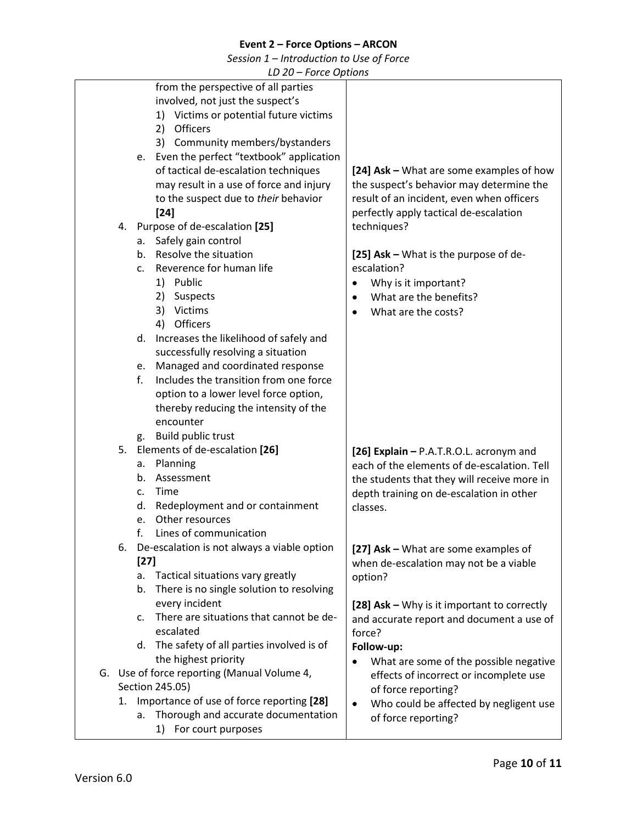*Session 1 – Introduction to Use of Force*

|    | LD ZU – FUILE OPHUIS                           |                                             |
|----|------------------------------------------------|---------------------------------------------|
|    | from the perspective of all parties            |                                             |
|    | involved, not just the suspect's               |                                             |
|    | 1) Victims or potential future victims         |                                             |
|    | 2) Officers                                    |                                             |
|    | 3) Community members/bystanders                |                                             |
|    |                                                |                                             |
|    | Even the perfect "textbook" application<br>e.  |                                             |
|    | of tactical de-escalation techniques           | [24] Ask – What are some examples of how    |
|    | may result in a use of force and injury        | the suspect's behavior may determine the    |
|    | to the suspect due to their behavior           | result of an incident, even when officers   |
|    | $[24]$                                         | perfectly apply tactical de-escalation      |
|    | 4. Purpose of de-escalation [25]               | techniques?                                 |
|    | a. Safely gain control                         |                                             |
|    |                                                |                                             |
|    | Resolve the situation<br>b.                    | [25] Ask - What is the purpose of de-       |
|    | Reverence for human life<br>c.                 | escalation?                                 |
|    | 1) Public                                      | Why is it important?<br>$\bullet$           |
|    | 2) Suspects                                    | What are the benefits?                      |
|    | 3) Victims                                     | What are the costs?                         |
|    | Officers<br>4)                                 |                                             |
|    | Increases the likelihood of safely and<br>d.   |                                             |
|    | successfully resolving a situation             |                                             |
|    |                                                |                                             |
|    | Managed and coordinated response<br>e.         |                                             |
|    | Includes the transition from one force<br>f.   |                                             |
|    | option to a lower level force option,          |                                             |
|    | thereby reducing the intensity of the          |                                             |
|    | encounter                                      |                                             |
|    | Build public trust<br>g.                       |                                             |
| 5. | Elements of de-escalation [26]                 |                                             |
|    |                                                | [26] Explain - P.A.T.R.O.L. acronym and     |
|    | Planning<br>a.                                 | each of the elements of de-escalation. Tell |
|    | Assessment<br>b.                               | the students that they will receive more in |
|    | <b>Time</b><br>C.                              | depth training on de-escalation in other    |
|    | d.<br>Redeployment and or containment          | classes.                                    |
|    | Other resources<br>e.                          |                                             |
|    | f.<br>Lines of communication                   |                                             |
|    | 6. De-escalation is not always a viable option |                                             |
|    |                                                | [27] Ask - What are some examples of        |
|    | $[27]$                                         | when de-escalation may not be a viable      |
|    | Tactical situations vary greatly<br>а.         | option?                                     |
|    | There is no single solution to resolving<br>b. |                                             |
|    | every incident                                 | [28] Ask - Why is it important to correctly |
|    | There are situations that cannot be de-<br>C.  | and accurate report and document a use of   |
|    | escalated                                      | force?                                      |
|    | d. The safety of all parties involved is of    | Follow-up:                                  |
|    | the highest priority                           |                                             |
|    |                                                | What are some of the possible negative      |
|    | G. Use of force reporting (Manual Volume 4,    | effects of incorrect or incomplete use      |
|    | Section 245.05)                                | of force reporting?                         |
| 1. | Importance of use of force reporting [28]      | Who could be affected by negligent use      |
|    | Thorough and accurate documentation<br>а.      | of force reporting?                         |
|    | For court purposes<br>1)                       |                                             |
|    |                                                |                                             |